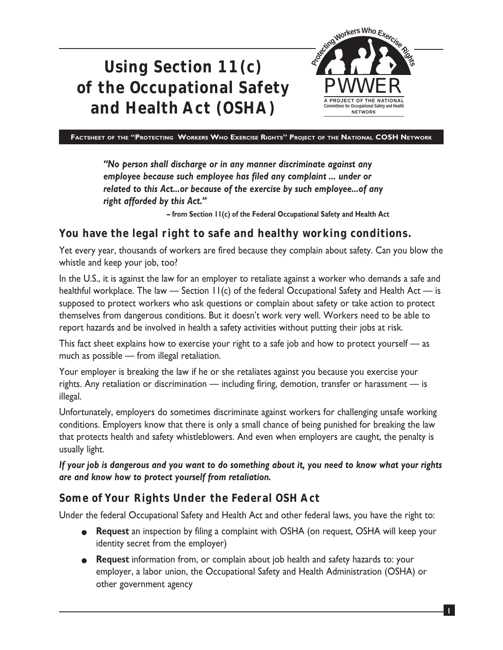



**FACTSHEET OF THE "PROTECTING WORKERS WHO EXERCISE RIGHTS" PROJECT OF THE NATIONAL COSH NETWORK**

*"No person shall discharge or in any manner discriminate against any employee because such employee has filed any complaint ... under or related to this Act...or because of the exercise by such employee...of any right afforded by this Act."*

**– from Section 11(c) of the Federal Occupational Safety and Health Act**

#### **You have the legal right to safe and healthy working conditions.**

Yet every year, thousands of workers are fired because they complain about safety. Can you blow the whistle and keep your job, too?

In the U.S., it is against the law for an employer to retaliate against a worker who demands a safe and healthful workplace. The law — Section  $H(c)$  of the federal Occupational Safety and Health Act — is supposed to protect workers who ask questions or complain about safety or take action to protect themselves from dangerous conditions. But it doesn't work very well. Workers need to be able to report hazards and be involved in health a safety activities without putting their jobs at risk.

This fact sheet explains how to exercise your right to a safe job and how to protect yourself — as much as possible — from illegal retaliation.

Your employer is breaking the law if he or she retaliates against you because you exercise your rights. Any retaliation or discrimination — including firing, demotion, transfer or harassment — is illegal.

Unfortunately, employers do sometimes discriminate against workers for challenging unsafe working conditions. Employers know that there is only a small chance of being punished for breaking the law that protects health and safety whistleblowers. And even when employers are caught, the penalty is usually light.

*If your job is dangerous and you want to do something about it, you need to know what your rights are and know how to protect yourself from retaliation.*

#### **Some of Your Rights Under the Federal OSH Act**

Under the federal Occupational Safety and Health Act and other federal laws, you have the right to:

- **Request** an inspection by filing a complaint with OSHA (on request, OSHA will keep your identity secret from the employer)
- **Request** information from, or complain about job health and safety hazards to: your employer, a labor union, the Occupational Safety and Health Administration (OSHA) or other government agency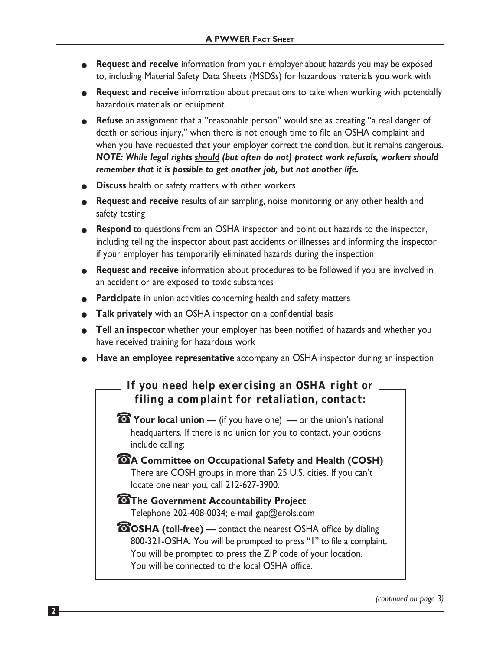- **Request and receive** information from your employer about hazards you may be exposed to, including Material Safety Data Sheets (MSDSs) for hazardous materials you work with
- **Request and receive** information about precautions to take when working with potentially hazardous materials or equipment
- **Refuse** an assignment that a "reasonable person" would see as creating "a real danger of death or serious injury," when there is not enough time to file an OSHA complaint and when you have requested that your employer correct the condition, but it remains dangerous. *NOTE: While legal rights should (but often do not) protect work refusals, workers should remember that it is possible to get another job, but not another life.*
- **Discuss** health or safety matters with other workers
- **Request and receive** results of air sampling, noise monitoring or any other health and safety testing
- **Respond** to questions from an OSHA inspector and point out hazards to the inspector, including telling the inspector about past accidents or illnesses and informing the inspector if your employer has temporarily eliminated hazards during the inspection
- **Request and receive** information about procedures to be followed if you are involved in an accident or are exposed to toxic substances
- **Participate** in union activities concerning health and safety matters
- **Talk privately** with an OSHA inspector on a confidential basis
- **Tell an inspector** whether your employer has been notified of hazards and whether you have received training for hazardous work
- **Have an employee representative** accompany an OSHA inspector during an inspection

## **If you need help exercising an OSHA right or filing a complaint for retaliation, contact:**

- ☎ **Your local union** (if you have one) **—** or the union's national headquarters. If there is no union for you to contact, your options include calling:
- ☎ **A Committee on Occupational Safety and Health (COSH)** There are COSH groups in more than 25 U.S. cities. If you can't locate one near you, call 212-627-3900.
- ☎ **The Government Accountability Project** Telephone 202-408-0034; e-mail gap@erols.com
- ☎ **OSHA (toll-free)** contact the nearest OSHA office by dialing 800-321-OSHA. You will be prompted to press "1" to file a complaint. You will be prompted to press the ZIP code of your location. You will be connected to the local OSHA office.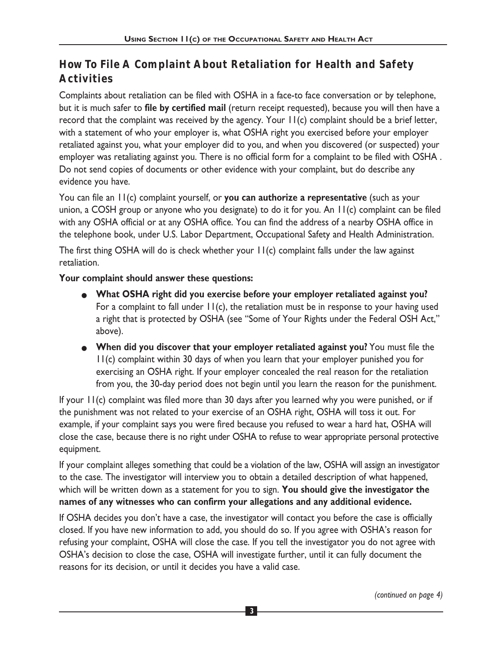# **How To File A Complaint About Retaliation for Health and Safety Activities**

Complaints about retaliation can be filed with OSHA in a face-to face conversation or by telephone, but it is much safer to **file by certified mail** (return receipt requested), because you will then have a record that the complaint was received by the agency. Your 11(c) complaint should be a brief letter, with a statement of who your employer is, what OSHA right you exercised before your employer retaliated against you, what your employer did to you, and when you discovered (or suspected) your employer was retaliating against you. There is no official form for a complaint to be filed with OSHA . Do not send copies of documents or other evidence with your complaint, but do describe any evidence you have.

You can file an 11(c) complaint yourself, or **you can authorize a representative** (such as your union, a COSH group or anyone who you designate) to do it for you. An 11(c) complaint can be filed with any OSHA official or at any OSHA office. You can find the address of a nearby OSHA office in the telephone book, under U.S. Labor Department, Occupational Safety and Health Administration.

The first thing OSHA will do is check whether your 11(c) complaint falls under the law against retaliation.

#### **Your complaint should answer these questions:**

- **What OSHA right did you exercise before your employer retaliated against you?** For a complaint to fall under  $H(c)$ , the retaliation must be in response to your having used a right that is protected by OSHA (see "Some of Your Rights under the Federal OSH Act," above).
- **When did you discover that your employer retaliated against you?** You must file the 11(c) complaint within 30 days of when you learn that your employer punished you for exercising an OSHA right. If your employer concealed the real reason for the retaliation from you, the 30-day period does not begin until you learn the reason for the punishment.

If your 11(c) complaint was filed more than 30 days after you learned why you were punished, or if the punishment was not related to your exercise of an OSHA right, OSHA will toss it out. For example, if your complaint says you were fired because you refused to wear a hard hat, OSHA will close the case, because there is no right under OSHA to refuse to wear appropriate personal protective equipment.

If your complaint alleges something that could be a violation of the law, OSHA will assign an investigator to the case. The investigator will interview you to obtain a detailed description of what happened, which will be written down as a statement for you to sign. **You should give the investigator the names of any witnesses who can confirm your allegations and any additional evidence.**

If OSHA decides you don't have a case, the investigator will contact you before the case is officially closed. If you have new information to add, you should do so. If you agree with OSHA's reason for refusing your complaint, OSHA will close the case. If you tell the investigator you do not agree with OSHA's decision to close the case, OSHA will investigate further, until it can fully document the reasons for its decision, or until it decides you have a valid case.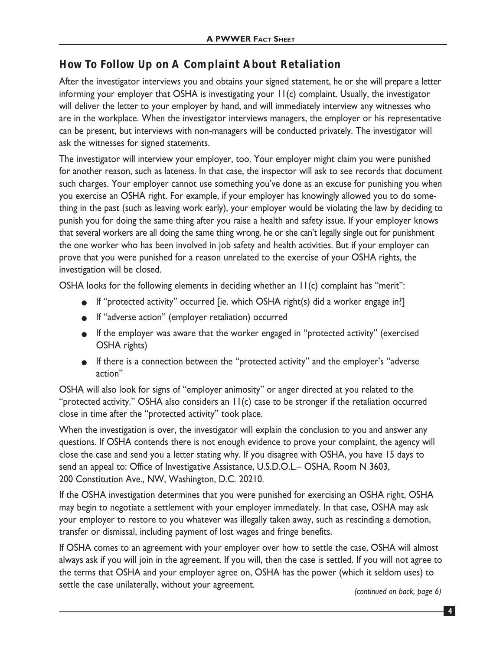### **How To Follow Up on A Complaint About Retaliation**

After the investigator interviews you and obtains your signed statement, he or she will prepare a letter informing your employer that OSHA is investigating your 11(c) complaint. Usually, the investigator will deliver the letter to your employer by hand, and will immediately interview any witnesses who are in the workplace. When the investigator interviews managers, the employer or his representative can be present, but interviews with non-managers will be conducted privately. The investigator will ask the witnesses for signed statements.

The investigator will interview your employer, too. Your employer might claim you were punished for another reason, such as lateness. In that case, the inspector will ask to see records that document such charges. Your employer cannot use something you've done as an excuse for punishing you when you exercise an OSHA right. For example, if your employer has knowingly allowed you to do something in the past (such as leaving work early), your employer would be violating the law by deciding to punish you for doing the same thing after you raise a health and safety issue. If your employer knows that several workers are all doing the same thing wrong, he or she can't legally single out for punishment the one worker who has been involved in job safety and health activities. But if your employer can prove that you were punished for a reason unrelated to the exercise of your OSHA rights, the investigation will be closed.

OSHA looks for the following elements in deciding whether an  $H(c)$  complaint has "merit":

- If "protected activity" occurred [ie. which OSHA right(s) did a worker engage in?]
- If "adverse action" (employer retaliation) occurred
- If the employer was aware that the worker engaged in "protected activity" (exercised OSHA rights)
- If there is a connection between the "protected activity" and the employer's "adverse action"

OSHA will also look for signs of "employer animosity" or anger directed at you related to the "protected activity." OSHA also considers an 11(c) case to be stronger if the retaliation occurred close in time after the "protected activity" took place.

When the investigation is over, the investigator will explain the conclusion to you and answer any questions. If OSHA contends there is not enough evidence to prove your complaint, the agency will close the case and send you a letter stating why. If you disagree with OSHA, you have 15 days to send an appeal to: Office of Investigative Assistance, U.S.D.O.L.– OSHA, Room N 3603, 200 Constitution Ave., NW, Washington, D.C. 20210.

If the OSHA investigation determines that you were punished for exercising an OSHA right, OSHA may begin to negotiate a settlement with your employer immediately. In that case, OSHA may ask your employer to restore to you whatever was illegally taken away, such as rescinding a demotion, transfer or dismissal, including payment of lost wages and fringe benefits.

If OSHA comes to an agreement with your employer over how to settle the case, OSHA will almost always ask if you will join in the agreement. If you will, then the case is settled. If you will not agree to the terms that OSHA and your employer agree on, OSHA has the power (which it seldom uses) to settle the case unilaterally, without your agreement. *(continued on back, page 6)*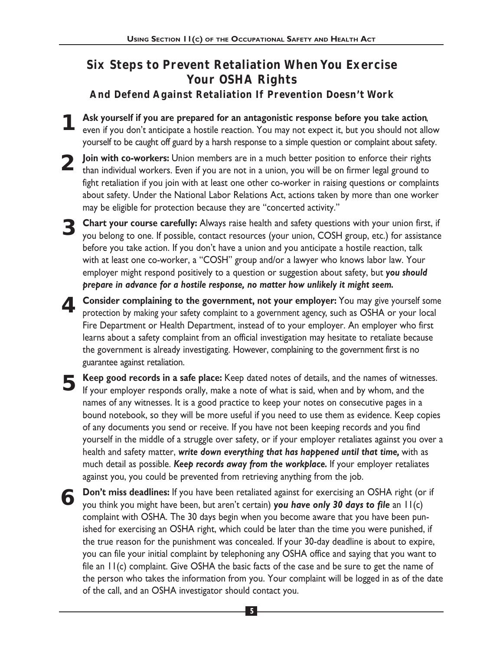# **Six Steps to Prevent Retaliation When You Exercise Your OSHA Rights**

**And Defend Against Retaliation If Prevention Doesn't Work**

- **Ask yourself if you are prepared for an antagonistic response before you take action**, even if you don't anticipate a hostile reaction. You may not expect it, but you should not allow yourself to be caught off guard by a harsh response to a simple question or complaint about safety. **1**
- **Join with co-workers:** Union members are in a much better position to enforce their rights **2** Join with co-workers: Union members are in a much better position to enforce their rights than individual workers. Even if you are not in a union, you will be on firmer legal ground to fight retaliation if you join with at least one other co-worker in raising questions or complaints about safety. Under the National Labor Relations Act, actions taken by more than one worker may be eligible for protection because they are "concerted activity."
- S Chart your course carefully: Always raise health and safety questions with your union first, if you belong to one. If possible, contact resources (your union, COSH group, etc.) for assistance you belong to one. If possible, contact resources (your union, COSH group, etc.) for assistance before you take action. If you don't have a union and you anticipate a hostile reaction, talk with at least one co-worker, a "COSH" group and/or a lawyer who knows labor law. Your employer might respond positively to a question or suggestion about safety, but *you should prepare in advance for a hostile response, no matter how unlikely it might seem.*
- **Consider complaining to the government, not your employer:** You may give yourself some protection by making your safety complaint to a government agency, such as OSHA or your local Fire Department or Health Department, instead of to your employer. An employer who first learns about a safety complaint from an official investigation may hesitate to retaliate because the government is already investigating. However, complaining to the government first is no guarantee against retaliation. **4**
- **Keep good records in a safe place:** Keep dated notes of details, and the names of witnesses.<br>If your employer responds orally, make a note of what is said, when and by whom, and the If your employer responds orally, make a note of what is said, when and by whom, and the names of any witnesses. It is a good practice to keep your notes on consecutive pages in a bound notebook, so they will be more useful if you need to use them as evidence. Keep copies of any documents you send or receive. If you have not been keeping records and you find yourself in the middle of a struggle over safety, or if your employer retaliates against you over a health and safety matter, *write down everything that has happened until that time,* with as much detail as possible. *Keep records away from the workplace.* If your employer retaliates against you, you could be prevented from retrieving anything from the job.
- **Don't miss deadlines:** If you have been retaliated against for exercising an OSHA right (or if **6** Don't miss deadlines: If you have been retaliated against for exercising an OSHA right (o you think you might have been, but aren't certain) **you have only 30 days to file** an 11(c) complaint with OSHA. The 30 days begin when you become aware that you have been punished for exercising an OSHA right, which could be later than the time you were punished, if the true reason for the punishment was concealed. If your 30-day deadline is about to expire, you can file your initial complaint by telephoning any OSHA office and saying that you want to file an 11(c) complaint. Give OSHA the basic facts of the case and be sure to get the name of the person who takes the information from you. Your complaint will be logged in as of the date of the call, and an OSHA investigator should contact you.